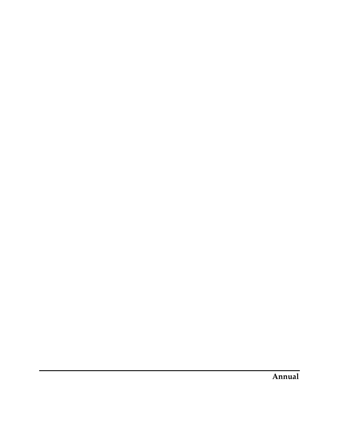**Annual**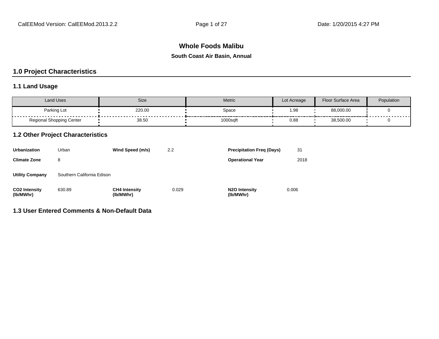# **Whole Foods Malibu**

#### **South Coast Air Basin, Annual**

# **1.0 Project Characteristics**

# **1.1 Land Usage**

| Land Uses                | Size   | <b>Metric</b> | Lot Acreage | Floor Surface Area | Population     |
|--------------------------|--------|---------------|-------------|--------------------|----------------|
| Parking Lot<br>.         | 220.00 | Space         | 98.⊧        | 88,000.00          | -------------- |
| Regional Shopping Center | 38.50  |               | 0.88        | 38,500.00          |                |

### **1.2 Other Project Characteristics**

| <b>Urbanization</b>               | Urban                      | Wind Speed (m/s)                  | 2.2   | <b>Precipitation Freg (Days)</b>        | 31    |
|-----------------------------------|----------------------------|-----------------------------------|-------|-----------------------------------------|-------|
| <b>Climate Zone</b>               | 8                          |                                   |       | <b>Operational Year</b>                 | 2018  |
| <b>Utility Company</b>            | Southern California Edison |                                   |       |                                         |       |
| <b>CO2 Intensity</b><br>(lb/MWhr) | 630.89                     | <b>CH4 Intensity</b><br>(lb/MWhr) | 0.029 | N <sub>2</sub> O Intensity<br>(lb/MWhr) | 0.006 |

# **1.3 User Entered Comments & Non-Default Data**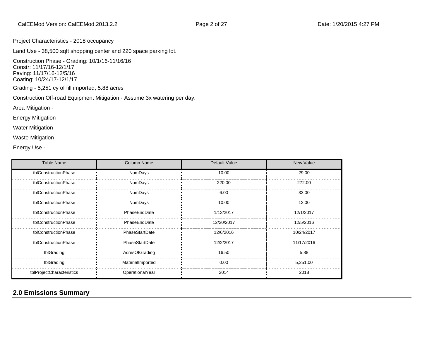Project Characteristics - 2018 occupancy

Land Use - 38,500 sqft shopping center and 220 space parking lot.

Construction Phase - Grading: 10/1/16-11/16/16 Constr: 11/17/16-12/1/17 Paving: 11/17/16-12/5/16 Coating: 10/24/17-12/1/17

Grading - 5,251 cy of fill imported, 5.88 acres

Construction Off-road Equipment Mitigation - Assume 3x watering per day.

Area Mitigation -

Energy Mitigation -

Water Mitigation -

Waste Mitigation -

Energy Use -

| <b>Table Name</b>         | <b>Column Name</b> | Default Value | New Value  |
|---------------------------|--------------------|---------------|------------|
| tblConstructionPhase      | NumDays            | 10.00         | 29.00      |
| tblConstructionPhase      | <b>NumDays</b>     | 220.00        | 272.00     |
| tblConstructionPhase      | NumDays            | 6.00          | 33.00      |
| tblConstructionPhase      | NumDays            | 10.00         | 13.00      |
| tblConstructionPhase      | PhaseEndDate       | 1/13/2017     | 12/1/2017  |
| tblConstructionPhase      | PhaseEndDate       | 12/20/2017    | 12/5/2016  |
| tblConstructionPhase      | PhaseStartDate     | 12/6/2016     | 10/24/2017 |
| tblConstructionPhase      | PhaseStartDate     | 12/2/2017     | 11/17/2016 |
| tblGrading                | AcresOfGrading     | 16.50         | 5.88       |
| tblGrading                | MaterialImported   | 0.00          | 5,251.00   |
| tblProjectCharacteristics | OperationalYear    | 2014          | 2018       |

# **2.0 Emissions Summary**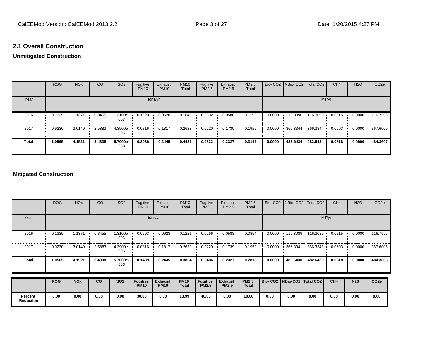## **2.1 Overall Construction**

## **Unmitigated Construction**

|              | <b>ROG</b> | <b>NO<sub>x</sub></b> | <b>CO</b> | SO <sub>2</sub> | Fugitive<br><b>PM10</b> | Exhaust<br><b>PM10</b> | <b>PM10</b><br>Total | Fugitive<br><b>PM2.5</b> | Exhaust<br>PM2.5 | PM2.5<br>Total |        | Bio- CO2   NBio- CO2   Total CO2          |          | CH <sub>4</sub> | <b>N2O</b> | CO <sub>2e</sub> |
|--------------|------------|-----------------------|-----------|-----------------|-------------------------|------------------------|----------------------|--------------------------|------------------|----------------|--------|-------------------------------------------|----------|-----------------|------------|------------------|
| Year         |            |                       |           |                 | tons/yr                 |                        |                      |                          |                  |                |        |                                           | MT/yr    |                 |            |                  |
| 2016         | 0.1335<br> | 1.1371                | 0.8455    | 1.3100e-<br>003 | 0.1220                  | 0.0628                 | 0.1848               | 0.0602                   | 0.0588           | 0.1190         | 0.0000 | $\cdot$ 116.3090 $\cdot$ 116.3090 $\cdot$ |          | 0.0215          | 0.0000     | $\cdot$ 116.7598 |
| 2017         | 0.9230     | 3.0149                | 2.5883    | 4.3900e-<br>003 | 0.0816                  | 0.1817                 | 0.2633               | 0.0220                   | 0.1739           | 0.1959         | 0.0000 | 366.3344 366.3344                         |          | 0.0603          | 0.0000     | 367.6009         |
| <b>Total</b> | 1.0565     | 4.1521                | 3.4338    | 5.7000e-<br>003 | 0.2036                  | 0.2445                 | 0.4481               | 0.0822                   | 0.2327           | 0.3149         | 0.0000 | 482.6434                                  | 482.6434 | 0.0818          | 0.0000     | 484.3607         |

### **Mitigated Construction**

|                             | <b>ROG</b>   | <b>NO<sub>x</sub></b> | <sub>CO</sub> | SO <sub>2</sub> | Fugitive<br><b>PM10</b>        | Exhaust<br><b>PM10</b>        | <b>PM10</b><br>Total        | Fugitive<br>PM2.5               | Exhaust<br>PM2.5               | PM2.5<br>Total               |                                 |                          | Bio- CO2 NBio- CO2 Total CO2 | CH <sub>4</sub> | <b>N2O</b> | CO <sub>2e</sub> |
|-----------------------------|--------------|-----------------------|---------------|-----------------|--------------------------------|-------------------------------|-----------------------------|---------------------------------|--------------------------------|------------------------------|---------------------------------|--------------------------|------------------------------|-----------------|------------|------------------|
| Year                        |              |                       |               |                 |                                | tons/yr                       |                             |                                 |                                |                              |                                 |                          |                              | MT/yr           |            |                  |
| 2016                        | 0.1335<br>., | 1.1371                | 0.8455        | 1.3100e-<br>003 | 0.0593                         | 0.0628                        | 0.1221                      | 0.0266                          | 0.0588                         | 0.0854                       | 0.0000                          | $\cdot$ 116.3089 $\cdot$ | 116.3089                     | 0.0215          | 0.0000     | .116.7597        |
| 2017                        | 0.9230<br>   | 3.0149                | 2.5883        | 4.3900e<br>003  | 0.0816                         | 0.1817                        | 0.2633                      | 0.0220                          | 0.1739                         | 0.1959                       | 0.0000                          | .366.3341                | .366.3341                    | 0.0603          | 0.0000     | 367.6006         |
| <b>Total</b>                | 1.0565       | 4.1521                | 3.4338        | 5.7000e-<br>003 | 0.1409                         | 0.2445                        | 0.3854                      | 0.0486                          | 0.2327                         | 0.2813                       | 0.0000                          | 482.6430                 | 482.6430                     | 0.0818          | 0.0000     | 484.3603         |
|                             | <b>ROG</b>   | <b>NO<sub>x</sub></b> | <b>CO</b>     | <b>SO2</b>      | <b>Fugitive</b><br><b>PM10</b> | <b>Exhaust</b><br><b>PM10</b> | <b>PM10</b><br><b>Total</b> | <b>Fugitive</b><br><b>PM2.5</b> | <b>Exhaust</b><br><b>PM2.5</b> | <b>PM2.5</b><br><b>Total</b> | Bio- CO2   NBio-CO2   Total CO2 |                          |                              | CH4             | <b>N20</b> | CO <sub>2e</sub> |
|                             |              |                       |               |                 |                                |                               |                             |                                 |                                |                              |                                 |                          |                              |                 |            |                  |
| Percent<br><b>Reduction</b> | 0.00         | 0.00                  | 0.00          | 0.00            | 30.80                          | 0.00                          | 13.99                       | 40.83                           | 0.00                           | 10.66                        | 0.00                            | 0.00                     | 0.00                         | 0.00            | 0.00       | 0.00             |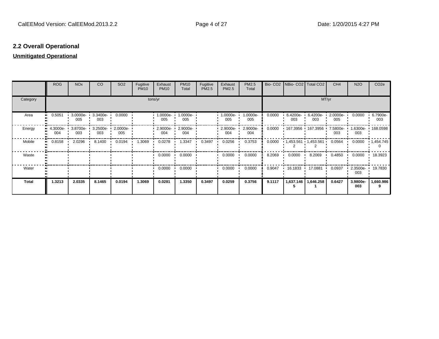# **2.2 Overall Operational**

### **Unmitigated Operational**

|          | <b>ROG</b>               | <b>NO<sub>x</sub></b> | <b>CO</b>       | SO <sub>2</sub> | Fugitive<br><b>PM10</b> | Exhaust<br><b>PM10</b> | <b>PM10</b><br>Total | Fugitive<br>PM2.5 | Exhaust<br>PM2.5 | PM2.5<br>Total  |        | Bio- CO2   NBio- CO2   Total CO2 |                         | CH <sub>4</sub> | <b>N2O</b>        | CO <sub>2e</sub>  |
|----------|--------------------------|-----------------------|-----------------|-----------------|-------------------------|------------------------|----------------------|-------------------|------------------|-----------------|--------|----------------------------------|-------------------------|-----------------|-------------------|-------------------|
| Category |                          |                       |                 |                 |                         | tons/yr                |                      |                   |                  |                 |        |                                  | MT/yr                   |                 |                   |                   |
| Area     | 0.5051<br>               | 3.0000e-<br>005       | 3.3400e-<br>003 | 0.0000          |                         | 1.0000e-<br>005        | 1.0000e-<br>005      |                   | 1.0000e-<br>005  | 1.0000e-<br>005 | 0.0000 | 6.4200e-<br>003                  | 6.4200e-<br>003         | 2.0000e-<br>005 | 0.0000            | 6.7900e-<br>003   |
| Energy   | $4.3000e - 1$<br><br>004 | 3.8700e-<br>003       | 3.2500e-<br>003 | 2.0000e-<br>005 |                         | 2.9000e-<br>004        | 2.9000e-<br>004      |                   | 2.9000e-<br>004  | 2.9000e-<br>004 | 0.0000 | 167.3956                         | 167.3956                | 7.5800e-<br>003 | 003               | 1.6300e- 168.0598 |
| Mobile   | 0.8158<br>               | 2.0296                | 8.1400          | 0.0194          | 1.3069                  | 0.0278                 | 1.3347               | 0.3497            | 0.0256           | 0.3753          | 0.0000 |                                  | $1,453.561$ $1,453.561$ | 0.0564          | 0.0000            | $\cdot$ 1,454.745 |
| Waste    |                          |                       |                 |                 |                         | 0.0000                 | 0.0000               |                   | 0.0000           | 0.0000          | 8.2069 | 0.0000                           | 8.2069                  | 0.4850          | 0.0000            | 18.3923           |
| Water    |                          |                       |                 |                 |                         | 0.0000                 | 0.0000               |                   | 0.0000           | 0.0000          | 0.9047 | 16.1833 •                        | 17.0881                 | 0.0937          | $2.3500e-$<br>003 | 19.7830           |
| Total    | 1.3213                   | 2.0335                | 8.1465          | 0.0194          | 1.3069                  | 0.0281                 | 1.3350               | 0.3497            | 0.0259           | 0.3756          | 9.1117 | 1,637.146                        | 1,646.258               | 0.6427          | 3.9800e-<br>003   | 1,660.986         |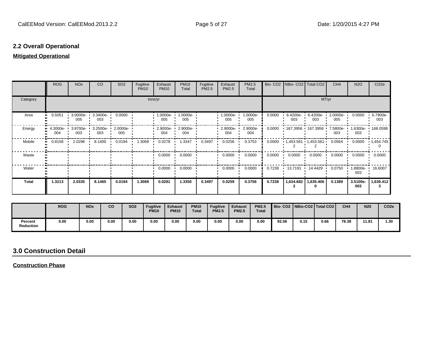# **2.2 Overall Operational**

### **Mitigated Operational**

|              | <b>ROG</b>      | <b>NO<sub>x</sub></b> | <b>CO</b>                | SO <sub>2</sub> | Fugitive<br><b>PM10</b> | Exhaust<br><b>PM10</b>          | <b>PM10</b><br>Total | Fugitive<br>PM2.5 | Exhaust<br>PM2.5   | PM2.5<br>Total  |                  | Bio- CO2   NBio- CO2   Total CO2 |                 | CH <sub>4</sub> | <b>N2O</b>      | CO <sub>2</sub> e |
|--------------|-----------------|-----------------------|--------------------------|-----------------|-------------------------|---------------------------------|----------------------|-------------------|--------------------|-----------------|------------------|----------------------------------|-----------------|-----------------|-----------------|-------------------|
| Category     |                 |                       |                          |                 | tons/yr                 |                                 |                      |                   |                    | MT/yr           |                  |                                  |                 |                 |                 |                   |
| Area         | 0.5051<br>      | 3.0000e-<br>005       | 3.3400e-<br>003          | 0.0000          |                         | 1.0000e-<br>005                 | 1.0000e-<br>005      |                   | $1.0000e-$<br>005  | 1.0000e-<br>005 | 0.0000           | $6.4200e-$<br>003                | 6.4200e-<br>003 | 2.0000e-<br>005 | 0.0000          | 6.7900e-<br>003   |
| Energy       | 4.3000e-<br>004 | 3.8700e-<br>003       | 3.2500e- 2.0000e-<br>003 | 005             |                         | $\cdot$ 2.9000e- $\cdot$<br>004 | 2.9000e-<br>004      |                   | $-2.9000e-$<br>004 | 2.9000e-<br>004 | 0.0000           | $+167.3956 + 167.3956$           |                 | 7.5800e-<br>003 | 003             | .6300e- 168.0598  |
| Mobile       | 0.8158<br>      | 2.0296                | 8.1400                   | 0.0194          | 1.3069                  | 0.0278                          | 1.3347               | 0.3497            | 0.0256             | 0.3753          | 0.0000           | $1,453.561$ $1,453.561$          |                 | 0.0564          | 0.0000          | 1,454.745         |
| Waste        |                 |                       |                          |                 |                         | 0.0000                          | 0.0000               |                   | 0.0000             | 0.0000          | $0.0000$ $\cdot$ | $0.0000$ $\cdot$                 | 0.0000          | 0.0000          | 0.0000          | 0.0000            |
| Water        |                 |                       |                          |                 |                         | 0.0000                          | 0.0000               |                   | 0.0000             | 0.0000          | 0.7238           | 13.7191                          | 14.4429         | 0.0750          | .8800e-<br>003  | 16.6007           |
| <b>Total</b> | 1.3213          | 2.0335                | 8.1465                   | 0.0194          | 1.3069                  | 0.0281                          | 1.3350               | 0.3497            | 0.0259             | 0.3756          | 0.7238           | 1,634.682                        | 1,635.406       | 0.1389          | 3.5100e-<br>003 | 1,639.412         |

|                      | <b>ROG</b> | <b>NO<sub>x</sub></b> | <b>CO</b> | <b>SO2</b> | <b>Fugitive</b><br><b>PM10</b> | <b>Exhaust</b><br><b>PM10</b> | <b>PM10</b><br><b>Total</b> | <b>Fugitive</b><br><b>PM2.5</b> | <b>Exhaust</b><br><b>PM2.5</b> | <b>PM2.5</b><br><b>Total</b> |       |      | Bio-CO2 NBio-CO2 Total CO2 | CH <sub>4</sub> | <b>N20</b> | CO <sub>2e</sub> |
|----------------------|------------|-----------------------|-----------|------------|--------------------------------|-------------------------------|-----------------------------|---------------------------------|--------------------------------|------------------------------|-------|------|----------------------------|-----------------|------------|------------------|
| Percent<br>Reduction | 0.00       | 0.00                  | 0.00      | 0.00       | 0.00                           | 0.00                          | 0.00                        | 0.00                            | 0.00                           | 0.00                         | 92.06 | 0.15 | 0.66                       | 78.38           | 11.81      | 1.30             |

# **3.0 Construction Detail**

**Construction Phase**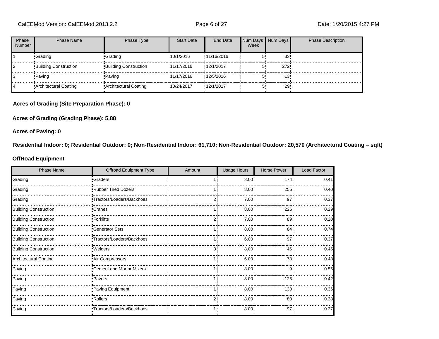| Phase<br>Number | Phase Name                   | Phase Type                   | <b>Start Date</b> | <b>End Date</b> | Num Days Num Days<br>Week |     | <b>Phase Description</b> |
|-----------------|------------------------------|------------------------------|-------------------|-----------------|---------------------------|-----|--------------------------|
|                 | •Grading                     | •Grading                     | 10/1/2016         | !11/16/2016     |                           | 33  |                          |
|                 | <b>Building Construction</b> | <b>Building Construction</b> | 11/17/2016        | !12/1/2017      |                           | 272 |                          |
|                 | • Paving                     | •Paving                      | 11/17/2016        | !12/5/2016      |                           |     |                          |
|                 | Architectural Coating        | • Architectural Coating      | '10/24/2017       | 12/1/2017       |                           | 29  |                          |

#### **Acres of Grading (Site Preparation Phase): 0**

**Acres of Grading (Grading Phase): 5.88**

**Acres of Paving: 0**

**Residential Indoor: 0; Residential Outdoor: 0; Non-Residential Indoor: 61,710; Non-Residential Outdoor: 20,570 (Architectural Coating – sqft)**

#### **OffRoad Equipment**

| <b>Phase Name</b>            | Offroad Equipment Type    | Amount | Usage Hours | <b>Horse Power</b> | Load Factor |
|------------------------------|---------------------------|--------|-------------|--------------------|-------------|
| Grading                      | <b>Craders</b>            |        | $8.00$ !    | 174                | 0.41        |
| Grading                      | Rubber Tired Dozers       |        | 8.00        | 255                | 0.40        |
| Grading                      | Tractors/Loaders/Backhoes |        | 7.00        | 97                 | 0.37        |
| <b>Building Construction</b> | <u>∙</u> Cranes           |        | 8.00        | 226                | 0.29        |
| <b>Building Construction</b> | ∙Forklifts                |        | 7.00        | 89                 | 0.20        |
| <b>Building Construction</b> | Generator Sets            |        | 8.00        | 84 <sup>°</sup>    | 0.74        |
| <b>Building Construction</b> | Tractors/Loaders/Backhoes |        | 6.00        | 97                 | 0.37        |
| <b>Building Construction</b> | .Welders                  |        | 8.00        | 46                 | 0.45        |
| Architectural Coating        | Air Compressors           |        | 6.00        | 78                 | 0.48        |
| Paving                       | "Cement and Mortar Mixers |        | 8.00        | 9                  | 0.56        |
| Paving                       | ·Pavers                   |        | 8.00        | 125!               | 0.42        |
| Paving                       | Paving Equipment          |        | 8.00        | 130                | 0.36        |
| Paving                       | Rollers <sup>-</sup>      |        | 8.00        | 80 <sup>1</sup>    | 0.38        |
| Paving                       | Tractors/Loaders/Backhoes |        | $8.00 -$    | $97 -$             | 0.37        |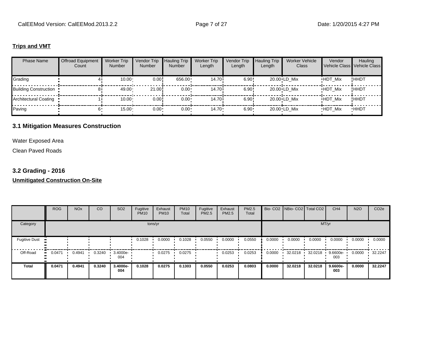#### **Trips and VMT**

| <b>Phase Name</b>            | <b>Offroad Equipment</b><br>Count | <b>Worker Trip</b><br><b>Number</b> | Vendor Trip<br><b>Number</b> | <b>Hauling Trip</b><br><b>Number</b> | <b>Worker Trip</b><br>Length | Vendor Trip<br>Length | <b>Hauling Trip</b><br>Length | <b>Worker Vehicle</b><br>Class | Vendor<br>Vehicle Class Vehicle Class | Hauling     |
|------------------------------|-----------------------------------|-------------------------------------|------------------------------|--------------------------------------|------------------------------|-----------------------|-------------------------------|--------------------------------|---------------------------------------|-------------|
| Grading                      |                                   | 10.00                               | 0.00!                        | 656.00                               | 14.70i                       | $6.90$ !              |                               | 20.00 LD Mix                   | <b>HDT Mix</b>                        | !HHDT       |
| <b>Building Construction</b> | 81                                | 49.00                               | 21.00                        | $0.00 \cdot$                         | 14.70 <sup>i</sup>           | 6.90!                 |                               | 20.00 LD Mix                   | <b>HDT Mix</b>                        | !HHDT       |
| Architectural Coating        |                                   | $10.00 \cdot$                       | 0.00!                        | $0.00 \cdot$                         | 14.70i                       | 6.90!                 |                               | 20.00 LD Mix                   | <b>HDT Mix</b>                        | !HHDT       |
| Paving                       | 6'                                | $15.00 -$                           | $0.00 -$                     | $0.00 \cdot$                         | $14.70 -$                    | $6.90 -$              |                               | 20.00 LD Mix                   | <b>HDT Mix</b>                        | <b>HHDT</b> |

### **3.1 Mitigation Measures Construction**

Water Exposed Area

Clean Paved Roads

# **3.2 Grading - 2016**

### **Unmitigated Construction On-Site**

|                      | <b>ROG</b> | <b>NO<sub>x</sub></b> | CO     | SO <sub>2</sub> | Fugitive<br><b>PM10</b> | Exhaust<br><b>PM10</b> | <b>PM10</b><br>Total | Fugitive<br>PM2.5 | Exhaust<br>PM2.5 | PM2.5<br>Total |        | Bio- CO2   NBio- CO2   Total CO2 |         | CH <sub>4</sub>   | <b>N2O</b> | CO <sub>2e</sub> |
|----------------------|------------|-----------------------|--------|-----------------|-------------------------|------------------------|----------------------|-------------------|------------------|----------------|--------|----------------------------------|---------|-------------------|------------|------------------|
| Category             |            |                       |        |                 |                         | tons/yr                |                      |                   |                  |                |        |                                  | MT/yr   |                   |            |                  |
| <b>Fugitive Dust</b> |            |                       |        |                 | 0.1028                  | 0.0000                 | 0.1028               | 0.0550            | 0.0000           | 0.0550         | 0.0000 | 0.0000                           | 0.0000  | 0.0000            | 0.0000     | 0.0000           |
| Off-Road<br>ш.       | 0.0471     | 0.4941                | 0.3240 | 3.4000e-<br>004 |                         | 0.0275                 | 0.0275               |                   | 0.0253           | 0.0253         | 0.0000 | 32.0218                          | 32.0218 | $9.6600e-$<br>003 | 0.0000     | 32.2247          |
| <b>Total</b>         | 0.0471     | 0.4941                | 0.3240 | 3.4000e-<br>004 | 0.1028                  | 0.0275                 | 0.1303               | 0.0550            | 0.0253           | 0.0803         | 0.0000 | 32.0218                          | 32.0218 | 9.6600e-<br>003   | 0.0000     | 32.2247          |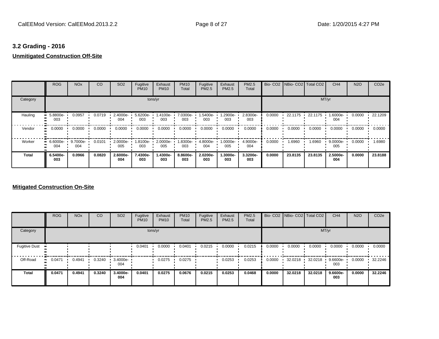# **3.2 Grading - 2016**

# **Unmitigated Construction Off-Site**

|          | <b>ROG</b>      | <b>NO<sub>x</sub></b> | CO     | SO <sub>2</sub> | Fugitive<br><b>PM10</b> | Exhaust<br><b>PM10</b> | <b>PM10</b><br>Total | Fugitive<br><b>PM2.5</b> | Exhaust<br>PM2.5 | <b>PM2.5</b><br>Total |        | Bio- CO2   NBio- CO2   Total CO2 |         | CH <sub>4</sub> | <b>N2O</b> | CO <sub>2e</sub> |
|----------|-----------------|-----------------------|--------|-----------------|-------------------------|------------------------|----------------------|--------------------------|------------------|-----------------------|--------|----------------------------------|---------|-----------------|------------|------------------|
| Category |                 |                       |        |                 |                         | tons/yr                |                      |                          |                  |                       |        |                                  |         | MT/yr           |            |                  |
| Hauling  | 5.8800e-<br>003 | 0.0957                | 0.0719 | 2.4000e-<br>004 | 5.6200e-<br>003         | 1.4100e-<br>003        | 7.0300e-<br>003      | 1.5400e-<br>003          | -2900e.<br>003   | 2.8300e-<br>003       | 0.0000 | 22.1175 ·                        | 22.1175 | 1.6000e-<br>004 | 0.0000     | 22.1209          |
| Vendor   | 0.0000          | 0.0000                | 0.0000 | 0.0000          | 0.0000                  | 0.0000                 | 0.0000               | 0.0000                   | 0.0000           | 0.0000                | 0.0000 | 0.0000                           | 0.0000  | 0.0000          | 0.0000     | 0.0000           |
| Worker   | 6.6000e-<br>004 | 9.7000e-<br>004       | 0.0101 | 2.0000e-<br>005 | $1.8100e -$<br>003      | 2.0000e-<br>005        | 1.8300e-<br>003      | 4.8000e-<br>004          | 1.0000e-<br>005  | 4.9000e-<br>004       | 0.0000 | 1.6960                           | 1.6960  | 9.0000e-<br>005 | 0.0000     | 1.6980           |
| Total    | 6.5400e-<br>003 | 0.0966                | 0.0820 | 2.6000e-<br>004 | 7.4300e-<br>003         | 1.4300e-<br>003        | 8.8600e-<br>003      | 2.0200e-<br>003          | 1.3000e-<br>003  | 3.3200e-<br>003       | 0.0000 | 23.8135                          | 23.8135 | 2.5000e-<br>004 | 0.0000     | 23.8188          |

### **Mitigated Construction On-Site**

|                      | <b>ROG</b>   | <b>NO<sub>x</sub></b> | CO     | SO <sub>2</sub> | Fugitive<br><b>PM10</b> | Exhaust<br><b>PM10</b> | <b>PM10</b><br>Total | Fugitive<br><b>PM2.5</b> | Exhaust<br><b>PM2.5</b> | <b>PM2.5</b><br>Total |        |         | Bio- CO2   NBio- CO2   Total CO2 | CH <sub>4</sub> | <b>N2O</b> | CO <sub>2e</sub> |
|----------------------|--------------|-----------------------|--------|-----------------|-------------------------|------------------------|----------------------|--------------------------|-------------------------|-----------------------|--------|---------|----------------------------------|-----------------|------------|------------------|
| Category             |              |                       |        |                 |                         | tons/yr                |                      |                          |                         |                       |        |         |                                  | MT/yr           |            |                  |
| <b>Fugitive Dust</b> |              |                       |        |                 | 0.0401                  | 0.0000                 | 0.0401               | 0.0215                   | 0.0000                  | 0.0215                | 0.0000 | 0.0000  | 0.0000                           | 0.0000          | 0.0000     | 0.0000           |
| Off-Road             | 0.0471<br>ш. | 0.4941                | 0.3240 | 3.4000e-<br>004 |                         | 0.0275                 | 0.0275               |                          | 0.0253                  | 0.0253                | 0.0000 | 32.0218 | 32.0218                          | 9.6600e-<br>003 | 0.0000     | 32.2246          |
| <b>Total</b>         | 0.0471       | 0.4941                | 0.3240 | 3.4000e-<br>004 | 0.0401                  | 0.0275                 | 0.0676               | 0.0215                   | 0.0253                  | 0.0468                | 0.0000 | 32.0218 | 32.0218                          | 9.6600e-<br>003 | 0.0000     | 32.2246          |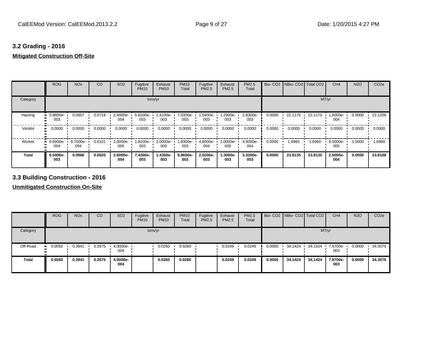# **3.2 Grading - 2016**

# **Mitigated Construction Off-Site**

|          | <b>ROG</b>      | <b>NO<sub>x</sub></b> | CO     | SO <sub>2</sub>    | Fugitive<br><b>PM10</b> | Exhaust<br><b>PM10</b> | <b>PM10</b><br>Total | Fugitive<br><b>PM2.5</b> | Exhaust<br>PM2.5 | <b>PM2.5</b><br>Total |        | Bio- CO2   NBio- CO2   Total CO2 |         | CH <sub>4</sub> | <b>N2O</b> | CO <sub>2e</sub> |
|----------|-----------------|-----------------------|--------|--------------------|-------------------------|------------------------|----------------------|--------------------------|------------------|-----------------------|--------|----------------------------------|---------|-----------------|------------|------------------|
| Category |                 |                       |        |                    |                         | tons/yr                |                      |                          |                  |                       |        |                                  |         | MT/yr           |            |                  |
| Hauling  | 5.8800e-<br>003 | 0.0957                | 0.0719 | $2.4000e -$<br>004 | 5.6200e-<br>003         | 1.4100e-<br>003        | 7.0300e-<br>003      | 1.5400e-<br>003          | 1.2900e-<br>003  | 2.8300e-<br>003       | 0.0000 | 22.1175 ·                        | 22.1175 | 1.6000e-<br>004 | 0.0000     | 22.1209          |
| Vendor   | 0.0000          | 0.0000                | 0.0000 | 0.0000             | 0.0000                  | 0.0000                 | 0.0000               | 0.0000                   | 0.0000           | 0.0000                | 0.0000 | 0.0000                           | 0.0000  | 0.0000          | 0.0000     | 0.0000           |
| Worker   | 6.6000e-<br>004 | 9.7000e-<br>004       | 0.0101 | 2.0000e-<br>005    | 1.8100e-<br>003         | 2.0000e-<br>005        | 1.8300e-<br>003      | 4.8000e-<br>004          | 1.0000e-<br>005  | 4.9000e-<br>004       | 0.0000 | 1.6960                           | 1.6960  | 9.0000e-<br>005 | 0.0000     | 1.6980           |
| Total    | 6.5400e-<br>003 | 0.0966                | 0.0820 | 2.6000e-<br>004    | 7.4300e-<br>003         | 1.4300e-<br>003        | 8.8600e-<br>003      | 2.0200e-<br>003          | 1.3000e-<br>003  | 3.3200e-<br>003       | 0.0000 | 23.8135                          | 23.8135 | 2.5000e-<br>004 | 0.0000     | 23,8188          |

# **3.3 Building Construction - 2016**

**Unmitigated Construction On-Site**

|              | <b>ROG</b>            | <b>NO<sub>x</sub></b> | CO     | SO <sub>2</sub> | Fugitive<br><b>PM10</b> | Exhaust<br><b>PM10</b> | <b>PM10</b><br>Total | Fugitive<br><b>PM2.5</b> | Exhaust<br>PM2.5 | <b>PM2.5</b><br>Total |        | Bio- CO2   NBio- CO2   Total CO2 |         | CH <sub>4</sub> | <b>N2O</b> | CO <sub>2e</sub> |
|--------------|-----------------------|-----------------------|--------|-----------------|-------------------------|------------------------|----------------------|--------------------------|------------------|-----------------------|--------|----------------------------------|---------|-----------------|------------|------------------|
| Category     |                       |                       |        |                 |                         | tons/yr                |                      |                          |                  |                       |        |                                  |         | MT/yr           |            |                  |
| Off-Road     | 0.0592<br>$\bullet$ : | 0.3941                | 0.2675 | 4.0000e-<br>004 |                         | 0.0260                 | 0.0260               |                          | 0.0249           | 0.0249                | 0.0000 | 34.1424                          | 34.1424 | 7.8700e-<br>003 | 0.0000     | 34.3076          |
| <b>Total</b> | 0.0592                | 0.3941                | 0.2675 | 4.0000e-<br>004 |                         | 0.0260                 | 0.0260               |                          | 0.0249           | 0.0249                | 0.0000 | 34.1424                          | 34.1424 | 7.8700e-<br>003 | 0.0000     | 34.3076          |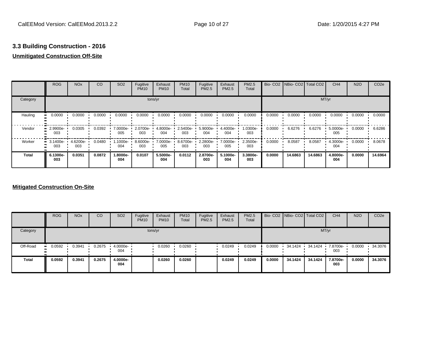# **Unmitigated Construction Off-Site**

|          | <b>ROG</b>              | <b>NO<sub>x</sub></b> | CO     | SO <sub>2</sub> | Fugitive<br><b>PM10</b> | Exhaust<br><b>PM10</b> | <b>PM10</b><br>Total | Fugitive<br><b>PM2.5</b> | Exhaust<br><b>PM2.5</b> | <b>PM2.5</b><br>Total |        | Bio- CO2   NBio- CO2   Total CO2 |         | CH <sub>4</sub> | <b>N2O</b> | CO <sub>2e</sub> |
|----------|-------------------------|-----------------------|--------|-----------------|-------------------------|------------------------|----------------------|--------------------------|-------------------------|-----------------------|--------|----------------------------------|---------|-----------------|------------|------------------|
| Category |                         |                       |        |                 |                         | tons/yr                |                      |                          |                         |                       |        |                                  | MT/yr   |                 |            |                  |
| Hauling  | 0.0000                  | 0.0000                | 0.0000 | 0.0000          | 0.0000                  | 0.0000                 | 0.0000               | 0.0000                   | 0.0000                  | 0.0000                | 0.0000 | 0.0000                           | 0.0000  | 0.0000          | 0.0000     | 0.0000           |
| Vendor   | 2.9900e-<br>003         | 0.0305                | 0.0392 | 7.0000e-<br>005 | 2.0700e-<br>003         | 4.8000e-<br>004        | 2.5400e-<br>003      | 5.9000e-<br>004          | 4.4000e-<br>004         | 1.0300e-<br>003       | 0.0000 | 6.6276                           | 6.6276  | 5.0000e-<br>005 | 0.0000     | 6.6286           |
| Worker   | $\cdot$ 3.1400e-<br>003 | 4.6200e-<br>003       | 0.0480 | 1.1000e-<br>004 | 8.6000e-<br>003         | 7.0000e-<br>005        | 8.6700e-<br>003      | 2.2800e-<br>003          | 7.0000e-<br>005         | 2.3500e-<br>003       | 0.0000 | 8.0587                           | 8.0587  | 4.3000e-<br>004 | 0.0000     | 8.0678           |
| Total    | 6.1300e-<br>003         | 0.0351                | 0.0872 | 1.8000e-<br>004 | 0.0107                  | 5.5000e-<br>004        | 0.0112               | 2.8700e-<br>003          | 5.1000e-<br>004         | 3.3800e-<br>003       | 0.0000 | 14.6863                          | 14.6863 | 4.8000e-<br>004 | 0.0000     | 14.6964          |

### **Mitigated Construction On-Site**

|              | <b>ROG</b> | <b>NO<sub>x</sub></b> | CO     | SO <sub>2</sub> | Fugitive<br><b>PM10</b> | Exhaust<br><b>PM10</b> | <b>PM10</b><br>Total | Fugitive<br><b>PM2.5</b> | Exhaust<br>PM2.5 | <b>PM2.5</b><br>Total |        | Bio- CO2 NBio- CO2 Total CO2 |         | CH <sub>4</sub> | <b>N2O</b> | CO <sub>2e</sub> |
|--------------|------------|-----------------------|--------|-----------------|-------------------------|------------------------|----------------------|--------------------------|------------------|-----------------------|--------|------------------------------|---------|-----------------|------------|------------------|
| Category     |            |                       |        |                 |                         | tons/yr                |                      |                          |                  |                       |        |                              |         | MT/yr           |            |                  |
| Off-Road     | 0.0592     | 0.3941                | 0.2675 | 4.0000e-<br>004 |                         | 0.0260                 | 0.0260               |                          | 0.0249           | 0.0249                | 0.0000 | 34.1424                      | 34.1424 | 7.8700e-<br>003 | 0.0000     | 34.3076          |
| <b>Total</b> | 0.0592     | 0.3941                | 0.2675 | 4.0000e-<br>004 |                         | 0.0260                 | 0.0260               |                          | 0.0249           | 0.0249                | 0.0000 | 34.1424                      | 34.1424 | 7.8700e-<br>003 | 0.0000     | 34.3076          |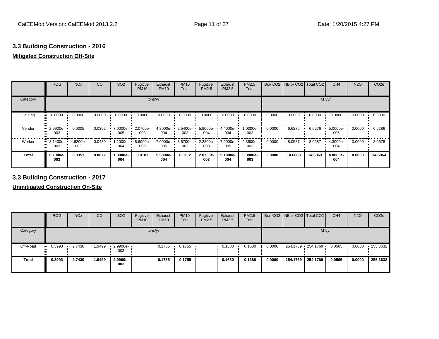# **Mitigated Construction Off-Site**

|          | <b>ROG</b>      | <b>NO<sub>x</sub></b> | CO     | SO <sub>2</sub> | Fugitive<br><b>PM10</b> | Exhaust<br><b>PM10</b> | <b>PM10</b><br>Total | Fugitive<br>PM2.5 | Exhaust<br><b>PM2.5</b> | <b>PM2.5</b><br>Total | Bio-CO <sub>2</sub> | NBio- CO2   Total CO2 |         | CH <sub>4</sub> | <b>N2O</b> | CO <sub>2e</sub> |
|----------|-----------------|-----------------------|--------|-----------------|-------------------------|------------------------|----------------------|-------------------|-------------------------|-----------------------|---------------------|-----------------------|---------|-----------------|------------|------------------|
| Category |                 |                       |        |                 |                         | tons/yr                |                      |                   |                         |                       |                     |                       | MT/yr   |                 |            |                  |
| Hauling  | 0.0000          | 0.0000                | 0.0000 | 0.0000          | 0.0000                  | 0.0000                 | 0.0000               | 0.0000            | 0.0000                  | 0.0000                | 0.0000              | 0.0000                | 0.0000  | 0.0000          | 0.0000     | 0.0000           |
| Vendor   | 2.9900e-<br>003 | 0.0305                | 0.0392 | 7.0000e-<br>005 | 2.0700e-<br>003         | 4.8000e-<br>004        | 2.5400e-<br>003      | 5.9000e-<br>004   | 4.4000e-<br>004         | 1.0300e-<br>003       | 0.0000              | 6.6276                | 6.6276  | 5.0000e-<br>005 | 0.0000     | 6.6286           |
| Worker   | 3.1400e-<br>003 | 4.6200e-<br>003       | 0.0480 | 1.1000e-<br>004 | 8.6000e-<br>003         | 7.0000e-<br>005        | 8.6700e-<br>003      | 2.2800e-<br>003   | 7.0000e-<br>005         | 2.3500e-<br>003       | 0.0000              | 8.0587                | 8.0587  | 4.3000e-<br>004 | 0.0000     | 8.0678           |
| Total    | 6.1300e-<br>003 | 0.0351                | 0.0872 | 1.8000e-<br>004 | 0.0107                  | 5.5000e-<br>004        | 0.0112               | 2.8700e-<br>003   | 5.1000e-<br>004         | 3.3800e-<br>003       | 0.0000              | 14.6863               | 14.6863 | 4.8000e-<br>004 | 0.0000     | 14.6964          |

**3.3 Building Construction - 2017**

**Unmitigated Construction On-Site**

|              | <b>ROG</b> | <b>NO<sub>x</sub></b> | CO     | SO <sub>2</sub>     | Fugitive<br><b>PM10</b> | Exhaust<br><b>PM10</b> | <b>PM10</b><br>Total | Fugitive<br><b>PM2.5</b> | Exhaust<br>PM2.5 | <b>PM2.5</b><br>Total |        | Bio- CO2 NBio- CO2 Total CO2 |          | CH <sub>4</sub> | <b>N2O</b> | CO <sub>2e</sub> |
|--------------|------------|-----------------------|--------|---------------------|-------------------------|------------------------|----------------------|--------------------------|------------------|-----------------------|--------|------------------------------|----------|-----------------|------------|------------------|
| Category     |            |                       |        |                     |                         | tons/yr                |                      |                          |                  |                       |        |                              | MT/yr    |                 |            |                  |
| Off-Road     | $-0.3993$  | 2.7430                | 1.9499 | $-2.9900e -$<br>003 |                         | 0.1755                 | 0.1755               |                          | 0.1680           | 0.1680                | 0.0000 | $-254.1769 - 254.1769$       |          | 0.0565          | 0.0000     | $-255.3632$      |
| <b>Total</b> | 0.3993     | 2.7430                | 1.9499 | 2.9900e-<br>003     |                         | 0.1755                 | 0.1755               |                          | 0.1680           | 0.1680                | 0.0000 | 254.1769                     | 254.1769 | 0.0565          | 0.0000     | 255.3632         |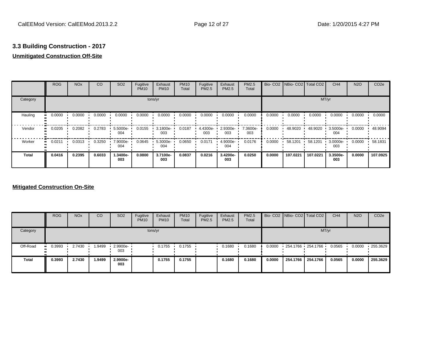# **Unmitigated Construction Off-Site**

|                     | <b>ROG</b>   | <b>NO<sub>x</sub></b> | CO     | SO <sub>2</sub> | Fugitive<br><b>PM10</b> | Exhaust<br><b>PM10</b> | <b>PM10</b><br>Total | Fugitive<br>PM2.5 | Exhaust<br>PM2.5 | PM2.5<br>Total  | Bio-CO <sub>2</sub> | NBio-CO2   Total CO2 |          | CH <sub>4</sub>    | <b>N2O</b> | CO <sub>2e</sub> |
|---------------------|--------------|-----------------------|--------|-----------------|-------------------------|------------------------|----------------------|-------------------|------------------|-----------------|---------------------|----------------------|----------|--------------------|------------|------------------|
| Category            |              |                       |        |                 |                         | tons/yr                |                      |                   |                  |                 |                     |                      | MT/yr    |                    |            |                  |
| Hauling             | 0.0000<br>ш. | 0.0000                | 0.0000 | 0.0000          | 0.0000                  | 0.0000                 | 0.0000               | 0.0000            | 0.0000           | 0.0000          | 0.0000              | 0.0000               | 0.0000   | 0.0000             | 0.0000     | 0.0000           |
| Vendor<br>$\bullet$ | 0.0205       | 0.2082                | 0.2783 | 5.5000e-<br>004 | 0.0155                  | 3.1800e-<br>003        | 0.0187               | 4.4300e-<br>003   | 2.9300e-<br>003  | 7.3600e-<br>003 | 0.0000              | 48.9020              | 48.9020  | 3.5000e-<br>004    | 0.0000     | 48.9094          |
| Worker<br>ш.        | 0.0211       | 0.0313                | 0.3250 | 7.9000e-<br>004 | 0.0645                  | 5.3000e-<br>004        | 0.0650               | 0.0171            | 4.9000e-<br>004  | 0.0176          | 0.0000              | 58.1201              | 58.1201  | $3.0000e -$<br>003 | 0.0000     | 58.1831          |
| <b>Total</b>        | 0.0416       | 0.2395                | 0.6033 | 1.3400e-<br>003 | 0.0800                  | 3.7100e-<br>003        | 0.0837               | 0.0216            | 3.4200e-<br>003  | 0.0250          | 0.0000              | 107.0221             | 107.0221 | 3.3500e-<br>003    | 0.0000     | 107.0925         |

### **Mitigated Construction On-Site**

|              | <b>ROG</b> | <b>NO<sub>x</sub></b> | CO      | SO <sub>2</sub>     | Fugitive<br><b>PM10</b> | Exhaust<br><b>PM10</b> | <b>PM10</b><br>Total | Fugitive<br><b>PM2.5</b> | Exhaust<br>PM2.5 | <b>PM2.5</b><br>Total |        | Bio- CO2 NBio- CO2 Total CO2 |          | CH <sub>4</sub> | <b>N2O</b> | CO <sub>2</sub> e |
|--------------|------------|-----------------------|---------|---------------------|-------------------------|------------------------|----------------------|--------------------------|------------------|-----------------------|--------|------------------------------|----------|-----------------|------------|-------------------|
| Category     |            |                       |         |                     |                         | tons/yr                |                      |                          |                  |                       |        |                              | MT/yr    |                 |            |                   |
| Off-Road     | 0.3993<br> | 2.7430                | 9499. ا | $-2.9900e -$<br>003 |                         | 0.1755                 | 0.1755               |                          | 0.1680           | 0.1680                | 0.0000 | 254.1766 254.1766            |          | 0.0565          | 0.0000     | 255.3629          |
| <b>Total</b> | 0.3993     | 2.7430                | 1.9499  | 2.9900e-<br>003     |                         | 0.1755                 | 0.1755               |                          | 0.1680           | 0.1680                | 0.0000 | 254.1766                     | 254.1766 | 0.0565          | 0.0000     | 255.3629          |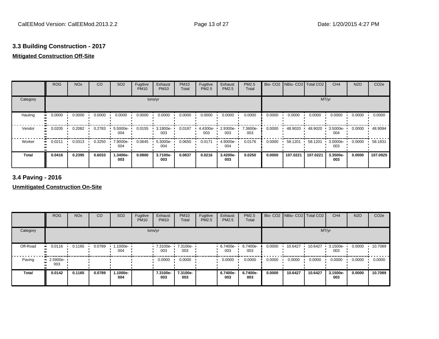# **Mitigated Construction Off-Site**

|               | <b>ROG</b>   | <b>NO<sub>x</sub></b> | CO     | SO <sub>2</sub> | Fugitive<br><b>PM10</b> | Exhaust<br><b>PM10</b> | <b>PM10</b><br>Total | Fugitive<br>PM2.5 | Exhaust<br>PM2.5 | PM2.5<br>Total  | Bio-CO <sub>2</sub> | NBio- CO2   Total CO2 |          | CH <sub>4</sub> | <b>N2O</b> | CO <sub>2e</sub> |
|---------------|--------------|-----------------------|--------|-----------------|-------------------------|------------------------|----------------------|-------------------|------------------|-----------------|---------------------|-----------------------|----------|-----------------|------------|------------------|
| Category      |              |                       |        |                 |                         | tons/yr                |                      |                   |                  |                 |                     |                       | MT/yr    |                 |            |                  |
| Hauling<br>ш, | 0.0000       | 0.0000                | 0.0000 | 0.0000          | 0.0000                  | 0.0000                 | 0.0000               | 0.0000            | 0.0000           | 0.0000          | 0.0000              | 0.0000                | 0.0000   | 0.0000          | 0.0000     | 0.0000           |
| Vendor        | 0.0205<br>ш. | 0.2082                | 0.2783 | 5.5000e-<br>004 | 0.0155                  | 3.1800e-<br>003        | 0.0187               | 4.4300e-<br>003   | 2.9300e-<br>003  | 7.3600e-<br>003 | 0.0000              | 48.9020               | 48.9020  | 3.5000e-<br>004 | 0.0000     | 48.9094          |
| Worker<br>ш.  | 0.0211       | 0.0313                | 0.3250 | 7.9000e-<br>004 | 0.0645                  | 5.3000e-<br>004        | 0.0650               | 0.0171            | 4.9000e-<br>004  | 0.0176          | 0.0000              | 58.1201               | 58.1201  | 3.0000e-<br>003 | 0.0000     | 58.1831          |
| <b>Total</b>  | 0.0416       | 0.2395                | 0.6033 | 1.3400e-<br>003 | 0.0800                  | 3.7100e-<br>003        | 0.0837               | 0.0216            | 3.4200e-<br>003  | 0.0250          | 0.0000              | 107.0221              | 107.0221 | 3.3500e-<br>003 | 0.0000     | 107.0925         |

**3.4 Paving - 2016**

**Unmitigated Construction On-Site**

|              | <b>ROG</b>              | <b>NO<sub>x</sub></b> | CO     | SO <sub>2</sub>   | Fugitive<br><b>PM10</b> | Exhaust<br><b>PM10</b> | <b>PM10</b><br>Total | Fugitive<br>PM2.5 | Exhaust<br><b>PM2.5</b> | PM2.5<br>Total  |        | Bio- CO2   NBio- CO2   Total CO2 |         | CH <sub>4</sub> | <b>N2O</b> | CO <sub>2e</sub> |
|--------------|-------------------------|-----------------------|--------|-------------------|-------------------------|------------------------|----------------------|-------------------|-------------------------|-----------------|--------|----------------------------------|---------|-----------------|------------|------------------|
| Category     |                         |                       |        |                   |                         | tons/yr                |                      |                   |                         |                 |        |                                  | MT/yr   |                 |            |                  |
| Off-Road     | 0.0116                  | 0.1165                | 0.0789 | $.1000e -$<br>004 |                         | 7.3100e-<br>003        | 7.3100e-<br>003      |                   | $.67400e-$<br>003       | 6.7400e-<br>003 | 0.0000 | 10.6427                          | 10.6427 | 3.1500e-<br>003 | 0.0000     | 10.7089          |
| Paving       | $\cdot$ 2.5900e-<br>003 |                       |        |                   |                         | 0.0000                 | 0.0000               |                   | 0.0000                  | 0.0000          | 0.0000 | 0.0000                           | 0.0000  | 0.0000          | 0.0000     | 0.0000           |
| <b>Total</b> | 0.0142                  | 0.1165                | 0.0789 | -.1000e<br>004    |                         | 7.3100e-<br>003        | 7.3100e-<br>003      |                   | 6.7400e-<br>003         | 6.7400e-<br>003 | 0.0000 | 10.6427                          | 10.6427 | 3.1500e-<br>003 | 0.0000     | 10.7089          |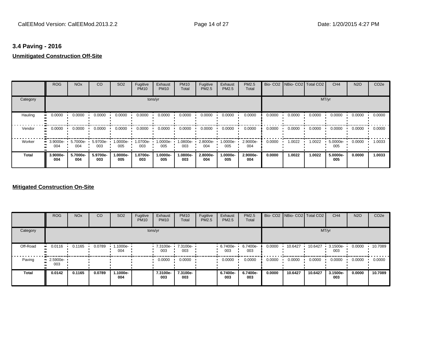# **3.4 Paving - 2016 Unmitigated Construction Off-Site**

|          | <b>ROG</b>            | <b>NO<sub>x</sub></b> | CO              | SO <sub>2</sub>  | Fugitive<br><b>PM10</b> | Exhaust<br><b>PM10</b> | <b>PM10</b><br>Total | Fugitive<br><b>PM2.5</b> | Exhaust<br>PM2.5 | <b>PM2.5</b><br>Total |        | Bio- CO2   NBio- CO2   Total CO2 |        | CH <sub>4</sub> | <b>N2O</b> | CO <sub>2e</sub> |
|----------|-----------------------|-----------------------|-----------------|------------------|-------------------------|------------------------|----------------------|--------------------------|------------------|-----------------------|--------|----------------------------------|--------|-----------------|------------|------------------|
| Category |                       |                       |                 |                  |                         | tons/yr                |                      |                          |                  |                       |        |                                  | MT/yr  |                 |            |                  |
| Hauling  | 0.0000<br>.           | 0.0000                | 0.0000          | 0.0000           | 0.0000                  | 0.0000                 | 0.0000               | 0.0000                   | 0.0000           | 0.0000                | 0.0000 | 0.0000                           | 0.0000 | 0.0000          | 0.0000     | 0.0000           |
| Vendor   | 0.0000                | 0.0000                | 0.0000          | 0.0000           | 0.0000                  | 0.0000                 | 0.0000               | 0.0000                   | 0.0000           | 0.0000                | 0.0000 | 0.0000                           | 0.0000 | 0.0000          | 0.0000     | 0.0000           |
| Worker   | 3.9000e- L<br><br>004 | 5.7000e-<br>004       | 5.9700e-<br>003 | --0000e-1<br>005 | 1.0700e-<br>003         | 1.0000e-<br>005        | 1.0800e-<br>003      | 2.8000e-<br>004          | 1.0000e-<br>005  | 2.9000e-<br>004       | 0.0000 | 1.0022                           | 1.0022 | 5.0000e-<br>005 | 0.0000     | 1.0033           |
| Total    | 3.9000e-<br>004       | 5.7000e-<br>004       | 5.9700e-<br>003 | -.0000e<br>005   | 1.0700e-<br>003         | 1.0000e-<br>005        | 1.0800e-<br>003      | 2.8000e-<br>004          | 1.0000e-<br>005  | 2.9000e-<br>004       | 0.0000 | 1.0022                           | 1.0022 | 5.0000e-<br>005 | 0.0000     | 1.0033           |

### **Mitigated Construction On-Site**

|              | <b>ROG</b>              | <b>NO<sub>x</sub></b> | CO     | SO <sub>2</sub>   | Fugitive<br><b>PM10</b> | Exhaust<br><b>PM10</b> | <b>PM10</b><br>Total | Fugitive<br>PM2.5 | Exhaust<br><b>PM2.5</b> | PM2.5<br>Total  |        | Bio- CO2   NBio- CO2   Total CO2 |         | CH <sub>4</sub> | <b>N2O</b> | CO <sub>2e</sub> |
|--------------|-------------------------|-----------------------|--------|-------------------|-------------------------|------------------------|----------------------|-------------------|-------------------------|-----------------|--------|----------------------------------|---------|-----------------|------------|------------------|
| Category     |                         |                       |        |                   |                         | tons/yr                |                      |                   |                         |                 |        |                                  | MT/yr   |                 |            |                  |
| Off-Road     | 0.0116                  | 0.1165                | 0.0789 | $.1000e -$<br>004 |                         | 7.3100e-<br>003        | 7.3100e-<br>003      |                   | 6.7400e-<br>003         | 6.7400e-<br>003 | 0.0000 | 10.6427                          | 10.6427 | 3.1500e-<br>003 | 0.0000     | 10.7089          |
| Paving       | $\cdot$ 2.5900e-<br>003 |                       |        |                   |                         | 0.0000                 | 0.0000               |                   | 0.0000                  | 0.0000          | 0.0000 | 0.0000                           | 0.0000  | 0.0000          | 0.0000     | 0.0000           |
| <b>Total</b> | 0.0142                  | 0.1165                | 0.0789 | 1.1000e-<br>004   |                         | 7.3100e-<br>003        | 7.3100e-<br>003      |                   | 6.7400e-<br>003         | 6.7400e-<br>003 | 0.0000 | 10.6427                          | 10.6427 | 3.1500e-<br>003 | 0.0000     | 10.7089          |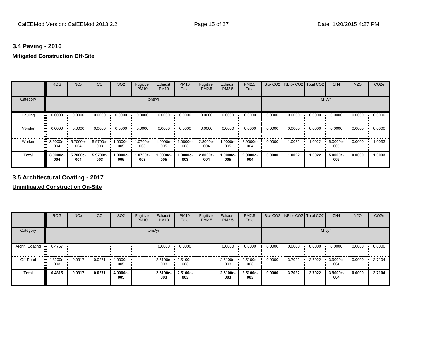# **3.4 Paving - 2016 Mitigated Construction Off-Site**

|          | <b>ROG</b>      | <b>NO<sub>x</sub></b> | CO              | SO <sub>2</sub>  | Fugitive<br><b>PM10</b> | Exhaust<br><b>PM10</b> | <b>PM10</b><br>Total | Fugitive<br><b>PM2.5</b> | Exhaust<br>PM2.5 | PM2.5<br>Total  |        | Bio- CO2   NBio- CO2   Total CO2 |        | CH <sub>4</sub> | <b>N2O</b> | CO <sub>2e</sub> |
|----------|-----------------|-----------------------|-----------------|------------------|-------------------------|------------------------|----------------------|--------------------------|------------------|-----------------|--------|----------------------------------|--------|-----------------|------------|------------------|
| Category |                 |                       |                 |                  |                         | tons/yr                |                      |                          |                  |                 |        |                                  |        | MT/yr           |            |                  |
| Hauling  | 0.0000          | 0.0000                | 0.0000          | 0.0000           | 0.0000                  | 0.0000                 | 0.0000               | 0.0000                   | 0.0000           | 0.0000          | 0.0000 | 0.0000                           | 0.0000 | 0.0000          | 0.0000     | 0.0000           |
| Vendor   | 0.0000          | 0.0000                | 0.0000          | 0.0000           | 0.0000                  | 0.0000                 | 0.0000               | 0.0000                   | 0.0000           | 0.0000          | 0.0000 | 0.0000                           | 0.0000 | 0.0000          | 0.0000     | 0.0000           |
| Worker   | 3.9000e-<br>004 | 5.7000e-<br>004       | 5.9700e-<br>003 | 1.0000e-<br>005  | 1.0700e-<br>003         | 1.0000e-<br>005        | 1.0800e-<br>003      | 2.8000e-<br>004          | 1.0000e-<br>005  | 2.9000e-<br>004 | 0.0000 | 1.0022                           | 1.0022 | 5.0000e-<br>005 | 0.0000     | 1.0033           |
| Total    | 3.9000e-<br>004 | 5.7000e-<br>004       | 5.9700e-<br>003 | $.0000e-$<br>005 | 1.0700e-<br>003         | 1.0000e-<br>005        | 1.0800e-<br>003      | 2.8000e-<br>004          | 1.0000e-<br>005  | 2.9000e-<br>004 | 0.0000 | 1.0022                           | 1.0022 | 5.0000e-<br>005 | 0.0000     | 1.0033           |

**3.5 Architectural Coating - 2017**

**Unmitigated Construction On-Site**

|                 | <b>ROG</b>             | <b>NO<sub>x</sub></b> | CO     | SO <sub>2</sub> | Fugitive<br><b>PM10</b> | Exhaust<br><b>PM10</b> | <b>PM10</b><br>Total     | Fugitive<br><b>PM2.5</b> | Exhaust<br>PM2.5 | <b>PM2.5</b><br>Total |        | Bio- CO2 NBio- CO2 Total CO2 |        | CH <sub>4</sub> | <b>N2O</b> | CO <sub>2e</sub> |
|-----------------|------------------------|-----------------------|--------|-----------------|-------------------------|------------------------|--------------------------|--------------------------|------------------|-----------------------|--------|------------------------------|--------|-----------------|------------|------------------|
| Category        |                        |                       |        |                 | tons/yr                 |                        |                          |                          |                  |                       |        |                              | MT/yr  |                 |            |                  |
| Archit. Coating | 0.4767<br>$\mathbf{u}$ |                       |        |                 |                         | 0.0000                 | 0.0000                   |                          | 0.0000           | 0.0000                | 0.0000 | 0.0000                       | 0.0000 | 0.0000          | 0.0000     | 0.0000           |
| Off-Road        | $-4.8200e-$<br>003     | 0.0317                | 0.0271 | 4.0000e-<br>005 |                         | 003                    | 2.5100e- 2.5100e-<br>003 |                          | 2.5100e-<br>003  | 2.5100e-<br>003       | 0.0000 | 3.7022                       | 3.7022 | 3.9000e-<br>004 | 0.0000     | 3.7104           |
| <b>Total</b>    | 0.4815                 | 0.0317                | 0.0271 | 4.0000e-<br>005 |                         | 2.5100e-<br>003        | 2.5100e-<br>003          |                          | 2.5100e-<br>003  | 2.5100e-<br>003       | 0.0000 | 3.7022                       | 3.7022 | 3.9000e-<br>004 | 0.0000     | 3.7104           |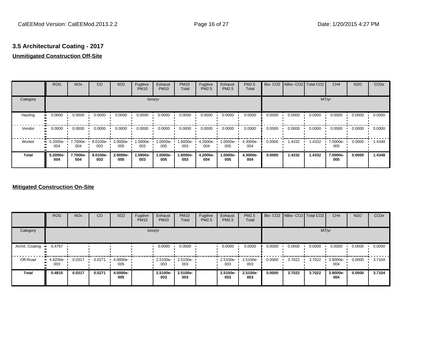# **3.5 Architectural Coating - 2017**

# **Unmitigated Construction Off-Site**

|          | <b>ROG</b>      | <b>NO<sub>x</sub></b> | CO              | SO <sub>2</sub> | Fugitive<br><b>PM10</b> | Exhaust<br><b>PM10</b> | <b>PM10</b><br>Total | Fugitive<br><b>PM2.5</b> | Exhaust<br><b>PM2.5</b> | PM2.5<br>Total  | Bio-CO <sub>2</sub> | NBio-CO2   Total CO2 |        | CH <sub>4</sub> | <b>N2O</b> | CO <sub>2e</sub> |
|----------|-----------------|-----------------------|-----------------|-----------------|-------------------------|------------------------|----------------------|--------------------------|-------------------------|-----------------|---------------------|----------------------|--------|-----------------|------------|------------------|
| Category |                 |                       |                 |                 | tons/yr                 |                        |                      |                          |                         |                 |                     |                      | MT/yr  |                 |            |                  |
| Hauling  | 0.0000          | 0.0000                | 0.0000          | 0.0000          | 0.0000                  | 0.0000                 | 0.0000               | 0.0000                   | 0.0000                  | 0.0000          | 0.0000              | 0.0000               | 0.0000 | 0.0000          | 0.0000     | 0.0000           |
| Vendor   | 0.0000          | 0.0000                | 0.0000          | 0.0000          | 0.0000                  | 0.0000                 | 0.0000               | 0.0000                   | 0.0000                  | 0.0000          | 0.0000              | 0.0000               | 0.0000 | 0.0000          | 0.0000     | 0.0000           |
| Worker   | 5.2000e-<br>004 | 7.7000e- 1<br>004     | 8.0100e-<br>003 | 2.0000e-<br>005 | 1.5900e-<br>003         | -:0000e<br>005         | 1.6000e-<br>003      | 4.2000e-<br>004          | 1.0000e-<br>005         | 4.3000e-<br>004 | 0.0000              | 1.4332               | 1.4332 | 7.0000e-<br>005 | 0.0000     | 1.4348           |
| Total    | 5.2000e-<br>004 | 7.7000e-<br>004       | 8.0100e-<br>003 | 2.0000e-<br>005 | 1.5900e-<br>003         | 1.0000e-<br>005        | 1.6000e-<br>003      | 4.2000e-<br>004          | 1.0000e-<br>005         | 4.3000e-<br>004 | 0.0000              | 1.4332               | 1.4332 | 7.0000e-<br>005 | 0.0000     | 1.4348           |

### **Mitigated Construction On-Site**

|                 | <b>ROG</b>                   | <b>NO<sub>x</sub></b> | CO     | SO <sub>2</sub> | Fugitive<br><b>PM10</b> | Exhaust<br><b>PM10</b> | <b>PM10</b><br>Total | Fugitive<br><b>PM2.5</b> | Exhaust<br><b>PM2.5</b> | <b>PM2.5</b><br>Total |        | Bio- CO2   NBio- CO2   Total CO2 |        | CH <sub>4</sub> | <b>N2O</b> | CO <sub>2e</sub> |
|-----------------|------------------------------|-----------------------|--------|-----------------|-------------------------|------------------------|----------------------|--------------------------|-------------------------|-----------------------|--------|----------------------------------|--------|-----------------|------------|------------------|
| Category        |                              |                       |        |                 |                         | tons/yr                |                      |                          |                         |                       |        |                                  | MT/yr  |                 |            |                  |
| Archit. Coating | 0.4767                       |                       |        |                 |                         | 0.0000                 | 0.0000               |                          | 0.0000                  | 0.0000                | 0.0000 | 0.0000                           | 0.0000 | 0.0000          | 0.0000     | 0.0000           |
| Off-Road        | 4.8200e-<br>$\bullet$<br>003 | 0.0317                | 0.0271 | 4.0000e-<br>005 |                         | 2.5100e-<br>003        | 2.5100e-<br>003      |                          | 2.5100e-<br>003         | 2.5100e-<br>003       | 0.0000 | 3.7022                           | 3.7022 | 3.9000e-<br>004 | 0.0000     | 3.7104           |
| <b>Total</b>    | 0.4815                       | 0.0317                | 0.0271 | 4.0000e-<br>005 |                         | 2.5100e-<br>003        | 2.5100e-<br>003      |                          | 2.5100e-<br>003         | 2.5100e-<br>003       | 0.0000 | 3.7022                           | 3.7022 | 3.9000e-<br>004 | 0.0000     | 3.7104           |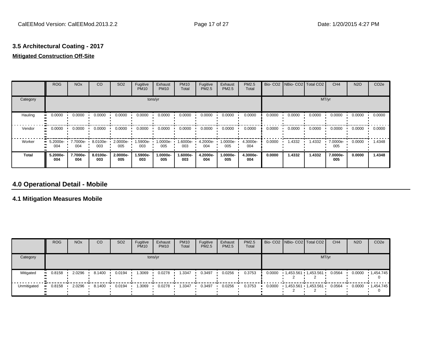# **3.5 Architectural Coating - 2017**

# **Mitigated Construction Off-Site**

|              | <b>ROG</b>      | <b>NO<sub>x</sub></b> | CO              | SO <sub>2</sub> | Fugitive<br><b>PM10</b> | Exhaust<br><b>PM10</b> | <b>PM10</b><br>Total | Fugitive<br><b>PM2.5</b> | Exhaust<br>PM2.5 | <b>PM2.5</b><br>Total |        | Bio- CO2   NBio- CO2   Total CO2 |        | CH <sub>4</sub> | <b>N2O</b> | CO <sub>2e</sub> |
|--------------|-----------------|-----------------------|-----------------|-----------------|-------------------------|------------------------|----------------------|--------------------------|------------------|-----------------------|--------|----------------------------------|--------|-----------------|------------|------------------|
| Category     |                 |                       |                 |                 |                         | tons/yr                |                      |                          |                  |                       |        |                                  | MT/yr  |                 |            |                  |
| Hauling<br>œ | 0.0000          | 0.0000                | 0.0000          | 0.0000          | 0.0000                  | 0.0000                 | 0.0000               | 0.0000                   | 0.0000           | 0.0000                | 0.0000 | 0.0000                           | 0.0000 | 0.0000          | 0.0000     | 0.0000           |
| Vendor<br>œ  | 0.0000          | 0.0000                | 0.0000          | 0.0000          | 0.0000                  | 0.0000                 | 0.0000               | 0.0000                   | 0.0000           | 0.0000                | 0.0000 | 0.0000                           | 0.0000 | 0.0000          | 0.0000     | 0.0000           |
| Worker       | 5.2000e-<br>004 | 7.7000e-<br>004       | 8.0100e-<br>003 | 2.0000e-<br>005 | 1.5900e-<br>003         | 1.0000e-<br>005        | 1.6000e-<br>003      | 4.2000e-<br>004          | 1.0000e-<br>005  | 4.3000e-<br>004       | 0.0000 | 1.4332                           | 1.4332 | 7.0000e-<br>005 | 0.0000     | 1.4348           |
| <b>Total</b> | 5.2000e-<br>004 | 7.7000e-<br>004       | 8.0100e-<br>003 | 2.0000e-<br>005 | 1.5900e-<br>003         | 1.0000e-<br>005        | 1.6000e-<br>003      | 4.2000e-<br>004          | -.0000e<br>005   | 4.3000e-<br>004       | 0.0000 | 1.4332                           | 1.4332 | 7.0000e-<br>005 | 0.0000     | 1.4348           |

# **4.0 Operational Detail - Mobile**

### **4.1 Mitigation Measures Mobile**

|             | <b>ROG</b> | <b>NO<sub>x</sub></b> | CO     | SO <sub>2</sub> | Fugitive<br><b>PM10</b> | Exhaust<br><b>PM10</b> | <b>PM10</b><br>Total | Fugitive<br><b>PM2.5</b> | Exhaust<br><b>PM2.5</b> | PM2.5<br>Total |  | Bio- CO2 NBio- CO2   Total CO2 | CH <sub>4</sub> | <b>N2O</b> | CO <sub>2</sub> e    |
|-------------|------------|-----------------------|--------|-----------------|-------------------------|------------------------|----------------------|--------------------------|-------------------------|----------------|--|--------------------------------|-----------------|------------|----------------------|
| Category    |            |                       |        |                 |                         | tons/yr                |                      |                          |                         |                |  |                                | MT/yr           |            |                      |
| Mitigated   | 0.8158     | 2.0296                | 8.1400 | 0.0194          | 1.3069                  | 0.0278                 | 3347ء                | 0.3497                   | 0.0256                  | 0.3753         |  | $0.0000$ 1,453.561 1,453.561 · | 0.0564          | 0.0000     | 1,454.745            |
| Unmitigated | 0.8158     | 2.0296                | 8.1400 | 0.0194          | 1.3069                  | 0.0278                 | 1.3347               | 0.3497                   | 0.0256                  | 0.3753         |  | $0.0000$ 1.453.561 1.453.561   | 0.0564          |            | $0.0000 + 1,454.745$ |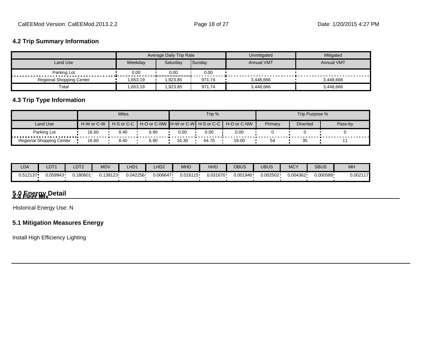### **4.2 Trip Summary Information**

|                                 |         | Average Daily Trip Rate |        | Unmitigated       | Mitigated         |
|---------------------------------|---------|-------------------------|--------|-------------------|-------------------|
| Land Use                        | Weekdav | Saturday                | Sunday | <b>Annual VMT</b> | <b>Annual VMT</b> |
| Parking Lot                     | 0.00    | 0.00                    | 0.00   |                   |                   |
| <b>Regional Shopping Center</b> | .653.19 | .923.85                 | 971.74 | 3,448,666         | 3.448.666         |
| Total                           | .653.19 | .923.85                 | 971.74 | 3,448,666         | 3,448,666         |

# **4.3 Trip Type Information**

|                          |            | <b>Miles</b>   |                                                     |       | Trip % |       |         | Trip Purpose %  |         |
|--------------------------|------------|----------------|-----------------------------------------------------|-------|--------|-------|---------|-----------------|---------|
| Land Use                 | H-W or C-W | $H-S$ or $C-C$ | │ H-O or C-NW ┃H-W or C-W┃ H-S or C-C ┃ H-O or C-NW |       |        |       | Primary | <b>Diverted</b> | Pass-by |
| Parking Lot              | 16.60      | 8.40           | 6.90                                                | 0.00  | 0.00   | 0.00  |         |                 |         |
| Regional Shopping Center | 16.60      | 8.40           | 6.90                                                | 16.30 | 64.70  | 19.00 | 54      | 35              |         |

| <b>LDA</b> | LDT <sup>4</sup> | LDT2     | MDV       | LHD1     | LHD <sub>2</sub> | MHD      | HHD      | OBUS     | <b>UBUS</b> | <b>MCY</b> | <b>SBUS</b> | <b>MH</b> |
|------------|------------------|----------|-----------|----------|------------------|----------|----------|----------|-------------|------------|-------------|-----------|
| 0.512137   | 0.059943         | J.180601 | ህ.139123• | 0.042256 | 0.006647         | 0.016115 | 0.031670 | 0.001940 | 0.002502    | 0.004362   | ·000588. (  | 0.002117  |

# **5.0 Energy Detail 4.4 Fleet Mix**

Historical Energy Use: N

## **5.1 Mitigation Measures Energy**

Install High Efficiency Lighting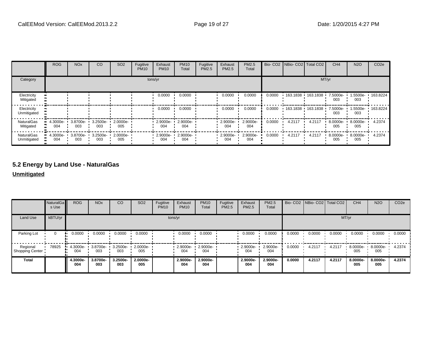|                                  | <b>ROG</b>         | <b>NO<sub>x</sub></b> | CO                 | SO <sub>2</sub>    | Fugitive<br><b>PM10</b> | Exhaust<br><b>PM10</b> | <b>PM10</b><br>Total | Fugitive<br>PM2.5 | Exhaust<br><b>PM2.5</b> | PM2.5<br>Total  |        |                   | Bio- CO2   NBio- CO2   Total CO2 | CH <sub>4</sub> | <b>N2O</b>      | CO <sub>2e</sub> |
|----------------------------------|--------------------|-----------------------|--------------------|--------------------|-------------------------|------------------------|----------------------|-------------------|-------------------------|-----------------|--------|-------------------|----------------------------------|-----------------|-----------------|------------------|
| Category                         |                    |                       |                    |                    |                         | tons/yr                |                      |                   |                         |                 |        |                   |                                  | MT/yr           |                 |                  |
| Electricity<br>Mitigated         |                    |                       |                    |                    |                         | 0.0000                 | 0.0000               |                   | 0.0000                  | 0.0000          | 0.0000 | 163.1838 163.1838 |                                  | 7.5000e-<br>003 | -5500e-<br>003  | 163.8224         |
| Electricity<br>Unmitigated       |                    |                       |                    |                    |                         | 0.0000                 | 0.0000               |                   | 0.0000                  | 0.0000          | 0.0000 | 163.1838 163.1838 |                                  | 7.5000e-<br>003 | .5500e-<br>003  | 163.8224         |
| <b>NaturalGas</b><br>Mitigated   | $-4.3000e-$<br>004 | 3.8700e-<br>003       | 3.2500e-<br>003    | 2.0000e-<br>005    |                         | 2.9000e-<br>004        | 2.9000e-<br>004      |                   | 2.9000e-<br>004         | 2.9000e-<br>004 | 0.0000 | 4.2117            | 4.2117                           | 8.0000e-<br>005 | 8.0000e-<br>005 | 4.2374           |
| <b>NaturalGas</b><br>Unmitigated | $-4.3000e-$<br>004 | 3.8700e-<br>003       | $3.2500e -$<br>003 | $2.0000e -$<br>005 |                         | 2.9000e-<br>004        | 2.9000e-<br>004      |                   | 2.9000e-<br>004         | 2.9000e-<br>004 | 0.0000 | 4.2117            | 4.2117                           | 8.0000e-<br>005 | 8.0000e-<br>005 | 4.2374           |

# **5.2 Energy by Land Use - NaturalGas**

**Unmitigated**

|                                    | NaturalGa<br>s Use | <b>ROG</b>        | <b>NO<sub>x</sub></b> | CO              | SO <sub>2</sub> | Fugitive<br><b>PM10</b> | Exhaust<br><b>PM10</b> | <b>PM10</b><br>Total | Fugitive<br>PM2.5 | Exhaust<br>PM2.5 | PM2.5<br>Total  |        | Bio- CO2   NBio- CO2   Total CO2 |        | CH <sub>4</sub> | <b>N2O</b>           | CO <sub>2e</sub> |
|------------------------------------|--------------------|-------------------|-----------------------|-----------------|-----------------|-------------------------|------------------------|----------------------|-------------------|------------------|-----------------|--------|----------------------------------|--------|-----------------|----------------------|------------------|
| Land Use                           | kBTU/yr            |                   |                       |                 |                 |                         | tons/yr                |                      |                   |                  |                 |        |                                  |        | MT/yr           |                      |                  |
| Parking Lot                        | $\Omega$           | 0.0000<br>        | 0.0000                | 0.0000          | 0.0000          |                         | 0.0000                 | 0.0000               |                   | 0.0000           | 0.0000          | 0.0000 | 0.0000                           | 0.0000 | 0.0000          | 0.0000               | 0.0000           |
| Regional<br><b>Shopping Center</b> | 78925              | $4.3000e-$<br>004 | 3.8700e-<br>003       | 3.2500e-<br>003 | 2.0000e-<br>005 |                         | 2.9000e-<br>004        | 2.9000e-<br>004      |                   | 2.9000e-<br>004  | 2.9000e-<br>004 | 0.0000 | 4.2117                           | 4.2117 | 8.0000e-<br>005 | $8.0000e - 1$<br>005 | 4.2374           |
| <b>Total</b>                       |                    | 4.3000e-<br>004   | 3.8700e-<br>003       | 3.2500e-<br>003 | 2.0000e-<br>005 |                         | 2.9000e-<br>004        | 2.9000e-<br>004      |                   | 2.9000e-<br>004  | 2.9000e-<br>004 | 0.0000 | 4.2117                           | 4.2117 | 8.0000e-<br>005 | 8.0000e-<br>005      | 4.2374           |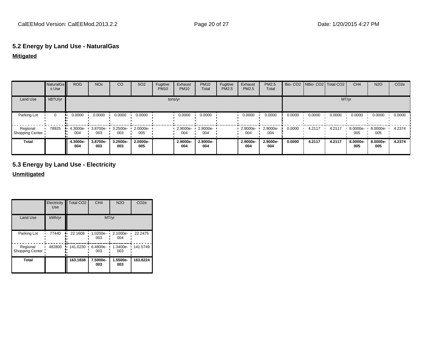# **5.2 Energy by Land Use - NaturalGas**

### **Mitigated**

|                             | NaturalGa<br>s Use | <b>ROG</b>      | <b>NO<sub>x</sub></b> | CO              | SO <sub>2</sub> | Fugitive<br><b>PM10</b> | Exhaust<br><b>PM10</b> | <b>PM10</b><br>Total | Fugitive<br><b>PM2.5</b> | Exhaust<br>PM2.5 | PM2.5<br>Total  |        | Bio- CO2   NBio- CO2   Total CO2 |        | CH <sub>4</sub> | <b>N2O</b>      | CO <sub>2e</sub> |
|-----------------------------|--------------------|-----------------|-----------------------|-----------------|-----------------|-------------------------|------------------------|----------------------|--------------------------|------------------|-----------------|--------|----------------------------------|--------|-----------------|-----------------|------------------|
| Land Use                    | kBTU/yr            |                 |                       |                 |                 |                         | tons/yr                |                      |                          |                  |                 |        |                                  | MT/yr  |                 |                 |                  |
| Parking Lot                 | $\Omega$           | 0.0000          | 0.0000                | 0.0000          | 0.0000          |                         | 0.0000                 | 0.0000               |                          | 0.0000           | 0.0000          | 0.0000 | 0.0000                           | 0.0000 | 0.0000          | 0.0000          | 0.0000           |
| Regional<br>Shopping Center | 78925              | 4.3000e-<br>004 | 3.8700e-<br>003       | 3.2500e-<br>003 | 2.0000e-<br>005 |                         | 2.9000e-<br>004        | 2.9000e-<br>004      |                          | 2.9000e-<br>004  | 2.9000e-<br>004 | 0.0000 | 4.2117                           | 4.2117 | 8.0000e-<br>005 | 8.0000e-<br>005 | 4.2374           |
| Total                       |                    | 4.3000e-<br>004 | 3.8700e-<br>003       | 3.2500e-<br>003 | 2.0000e-<br>005 |                         | 2.9000e-<br>004        | 2.9000e-<br>004      |                          | 2.9000e-<br>004  | 2.9000e-<br>004 | 0.0000 | 4.2117                           | 4.2117 | 8.0000e-<br>005 | 8.0000e-<br>005 | 4.2374           |

# **5.3 Energy by Land Use - Electricity**

#### **Unmitigated**

|                             | Electricity<br><b>Use</b> | Total CO <sub>2</sub> | CH <sub>4</sub> | <b>N2O</b>      | CO <sub>2e</sub> |
|-----------------------------|---------------------------|-----------------------|-----------------|-----------------|------------------|
| Land Use                    | kWh/yr                    |                       |                 | MT/yr           |                  |
| Parking Lot                 | 77440                     | 22.1608               | 1.0200e-<br>003 | 2.1000e-<br>004 | 22.2475          |
| Regional<br>Shopping Center | 492800                    | 141.0230<br>۰.        | 6.4800e-<br>003 | 1.3400e-<br>003 | 141.5749         |
| <b>Total</b>                |                           | 163.1838              | 7.5000e-<br>003 | 1.5500e-<br>003 | 163.8224         |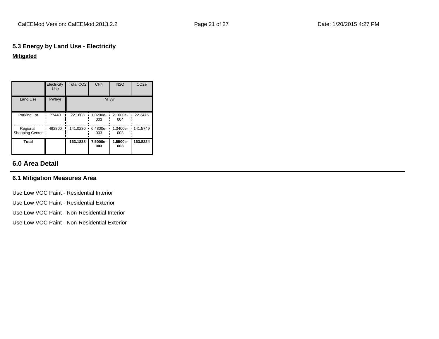# **5.3 Energy by Land Use - Electricity Mitigated**

|                             | Electricity<br><b>Use</b> | <b>Total CO2</b> | CH <sub>4</sub> | <b>N2O</b>      | CO <sub>2e</sub> |
|-----------------------------|---------------------------|------------------|-----------------|-----------------|------------------|
| Land Use                    | kWh/yr                    |                  |                 | MT/yr           |                  |
| Parking Lot                 | 77440                     | 22.1608          | 1.0200e-<br>003 | 2.1000e-<br>004 | 22.2475          |
| Regional<br>Shopping Center | 492800                    | 141.0230<br>٠.   | 6.4800e-<br>003 | 1.3400e-<br>003 | 141.5749         |
| Total                       |                           | 163.1838         | 7.5000e-<br>003 | 1.5500e-<br>003 | 163.8224         |

# **6.0 Area Detail**

## **6.1 Mitigation Measures Area**

Use Low VOC Paint - Residential Interior Use Low VOC Paint - Residential Exterior Use Low VOC Paint - Non-Residential Interior Use Low VOC Paint - Non-Residential Exterior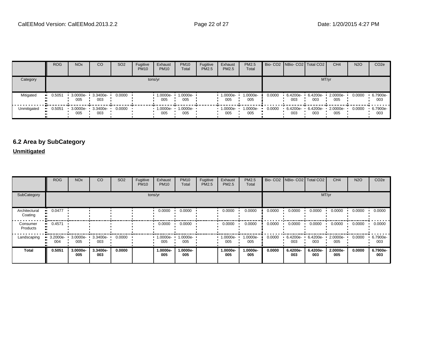|             | <b>ROG</b> | <b>NO<sub>x</sub></b> | CO              | SO <sub>2</sub> | Fugitive<br><b>PM10</b> | Exhaust<br><b>PM10</b> | <b>PM10</b><br>Total | Fugitive<br>PM2.5 | Exhaust<br><b>PM2.5</b> | <b>PM2.5</b><br>Total |        | Bio- CO2   NBio- CO2   Total CO2 |                          | CH <sub>4</sub> | <b>N2O</b> | CO <sub>2e</sub> |
|-------------|------------|-----------------------|-----------------|-----------------|-------------------------|------------------------|----------------------|-------------------|-------------------------|-----------------------|--------|----------------------------------|--------------------------|-----------------|------------|------------------|
| Category    |            |                       |                 |                 |                         | tons/yr                |                      |                   |                         |                       |        |                                  | MT/yr                    |                 |            |                  |
| Mitigated   | 0.5051     | 3.0000e-<br>005       | 3.3400e-<br>003 | 0.0000          |                         | 1.0000e-<br>005        | 1.0000e-<br>005      |                   | 1.0000e-<br>005         | 1.0000e-<br>005       | 0.0000 | 003                              | 6.4200e- 6.4200e-<br>003 | 2.0000e-<br>005 | 0.0000     | 6.7900e-<br>003  |
| Unmitigated | 0.5051     | 3.0000e-<br>005       | 3.3400e-<br>003 | 0.0000          |                         | 1.0000e-<br>005        | 1.0000e-<br>005      |                   | 1.0000e-<br>005         | 1.0000e-<br>005       | 0.0000 | 6.4200e- 6.4200e-<br>003         | 003                      | 2.0000e-<br>005 | 0.0000     | 6.7900e-<br>003  |

# **6.2 Area by SubCategory**

# **Unmitigated**

|                          | <b>ROG</b>      | <b>NO<sub>x</sub></b> | CO              | SO <sub>2</sub> | Fugitive<br><b>PM10</b> | Exhaust<br><b>PM10</b> | <b>PM10</b><br>Total | Fugitive<br>PM2.5 | Exhaust<br><b>PM2.5</b> | PM2.5<br>Total  |        |                    | Bio- CO2 NBio- CO2 Total CO2 | CH <sub>4</sub> | <b>N2O</b> | CO <sub>2e</sub> |
|--------------------------|-----------------|-----------------------|-----------------|-----------------|-------------------------|------------------------|----------------------|-------------------|-------------------------|-----------------|--------|--------------------|------------------------------|-----------------|------------|------------------|
| SubCategory              |                 |                       |                 |                 |                         | tons/yr                |                      |                   |                         |                 |        |                    | MT/yr                        |                 |            |                  |
| Architectural<br>Coating | 0.0477          |                       |                 |                 |                         | 0.0000                 | 0.0000               |                   | 0.0000                  | 0.0000          | 0.0000 | 0.0000             | 0.0000                       | 0.0000          | 0.0000     | 0.0000           |
| Consumer<br>Products     | 0.4571          |                       |                 |                 |                         | 0.0000                 | 0.0000               |                   | 0.0000                  | 0.0000          | 0.0000 | 0.0000             | 0.0000                       | 0.0000          | 0.0000     | 0.0000           |
| Landscaping              | 3.2000e-<br>004 | 3.0000e-<br>005       | 3.3400e-<br>003 | 0.0000          |                         | 1.0000e-<br>005        | 1.0000e-<br>005      |                   | 1.0000e-<br>005         | 1.0000e-<br>005 | 0.0000 | $6.4200e -$<br>003 | 6.4200e-<br>003              | 2.0000e-<br>005 | 0.0000     | 6.7900e-<br>003  |
| <b>Total</b>             | 0.5051          | 3.0000e-<br>005       | 3.3400e-<br>003 | 0.0000          |                         | 1.0000e-<br>005        | 1.0000e-<br>005      |                   | 1.0000e-<br>005         | 1.0000e-<br>005 | 0.0000 | 6.4200e-<br>003    | 6.4200e-<br>003              | 2.0000e-<br>005 | 0.0000     | 6.7900e-<br>003  |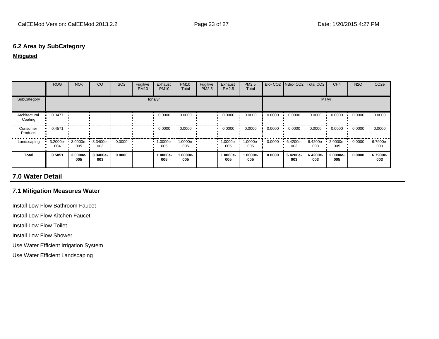#### **6.2 Area by SubCategory**

#### **Mitigated**

|                          | <b>ROG</b>      | <b>NO<sub>x</sub></b> | CO              | SO <sub>2</sub> | Fugitive<br><b>PM10</b> | Exhaust<br><b>PM10</b> | <b>PM10</b><br>Total | Fugitive<br><b>PM2.5</b> | Exhaust<br><b>PM2.5</b> | <b>PM2.5</b><br>Total |        | Bio- CO2   NBio- CO2   Total CO2 |                 | CH <sub>4</sub> | <b>N2O</b> | CO <sub>2e</sub> |
|--------------------------|-----------------|-----------------------|-----------------|-----------------|-------------------------|------------------------|----------------------|--------------------------|-------------------------|-----------------------|--------|----------------------------------|-----------------|-----------------|------------|------------------|
| SubCategory              |                 |                       |                 |                 |                         | tons/yr                |                      |                          |                         |                       |        |                                  | MT/yr           |                 |            |                  |
| Architectural<br>Coating | 0.0477          |                       |                 |                 |                         | 0.0000                 | 0.0000               |                          | 0.0000                  | 0.0000                | 0.0000 | 0.0000                           | 0.0000          | 0.0000          | 0.0000     | 0.0000           |
| Consumer<br>Products     | 0.4571          |                       |                 |                 |                         | 0.0000                 | 0.0000               |                          | 0.0000                  | 0.0000                | 0.0000 | 0.0000                           | 0.0000          | 0.0000          | 0.0000     | 0.0000           |
| Landscaping              | 3.2000e-<br>004 | 3.0000e-<br>005       | 3.3400e-<br>003 | 0.0000          |                         | 1.0000e-<br>005        | 1.0000e-<br>005      |                          | 1.0000e-<br>005         | 1.0000e-<br>005       | 0.0000 | 6.4200e-<br>003                  | 6.4200e-<br>003 | 2.0000e-<br>005 | 0.0000     | 6.7900e-<br>003  |
| <b>Total</b>             | 0.5051          | 3.0000e-<br>005       | 3.3400e-<br>003 | 0.0000          |                         | 1.0000e-<br>005        | 1.0000e-<br>005      |                          | 1.0000e-<br>005         | 1.0000e-<br>005       | 0.0000 | 6.4200e-<br>003                  | 6.4200e-<br>003 | 2.0000e-<br>005 | 0.0000     | 6.7900e-<br>003  |

# **7.0 Water Detail**

### **7.1 Mitigation Measures Water**

Install Low Flow Bathroom Faucet

Install Low Flow Kitchen Faucet

Install Low Flow Toilet

Install Low Flow Shower

Use Water Efficient Irrigation System

Use Water Efficient Landscaping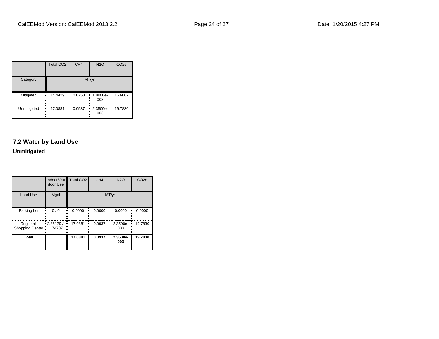|             | Total CO <sub>2</sub>    | CH <sub>4</sub> | <b>N2O</b>      | CO <sub>2e</sub> |
|-------------|--------------------------|-----------------|-----------------|------------------|
| Category    |                          |                 | MT/yr           |                  |
| Mitigated   | 14.4429<br><br><br><br>n | 0.0750          | 1.8800e-<br>003 | 16.6007          |
| Unmitigated | 17.0881<br><br><br>      | 0.0937          | 2.3500e-<br>003 | 19.7830          |

# **7.2 Water by Land Use**

**Unmitigated**

|                                     | door Use        | Indoor/Out Total CO2 | CH <sub>4</sub> | <b>N2O</b>      | CO <sub>2e</sub> |
|-------------------------------------|-----------------|----------------------|-----------------|-----------------|------------------|
| <b>Land Use</b>                     | Mgal            |                      |                 | MT/yr           |                  |
| Parking Lot                         | 0/0             | 0.0000               | 0.0000          | 0.0000          | 0.0000           |
| Regional<br>Shopping Center 1.74787 | .2.85179/<br>ш, | 17.0881              | 0.0937          | 2.3500e-<br>003 | 19.7830          |
| <b>Total</b>                        |                 | 17.0881              | 0.0937          | 2.3500e-<br>003 | 19.7830          |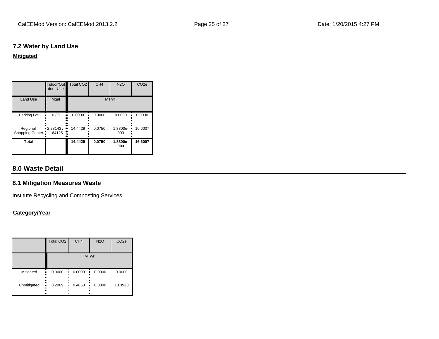### **7.2 Water by Land Use**

#### **Mitigated**

|                                     | door Use                | Indoor/Out Total CO2 | CH <sub>4</sub> | <b>N2O</b>      | CO <sub>2e</sub> |
|-------------------------------------|-------------------------|----------------------|-----------------|-----------------|------------------|
| <b>Land Use</b>                     | Mgal                    |                      |                 | MT/yr           |                  |
| Parking Lot                         | 0/0                     | 0.0000               | 0.0000          | 0.0000          | 0.0000           |
| Regional<br>Shopping Center 1.64125 | $\cdot$ 2.28143 /<br>ш. | 14.4429              | 0.0750          | 1.8800e-<br>003 | 16.6007          |
| Total                               |                         | 14.4429              | 0.0750          | 1.8800e-<br>003 | 16.6007          |

# **8.0 Waste Detail**

# **8.1 Mitigation Measures Waste**

Institute Recycling and Composting Services

# **Category/Year**

|                         | Total CO <sub>2</sub> | CH <sub>4</sub> | <b>N2O</b> | CO <sub>2e</sub> |
|-------------------------|-----------------------|-----------------|------------|------------------|
|                         |                       |                 | MT/yr      |                  |
| Mitigated<br>ш,<br><br> | 0.0000<br>            | 0.0000          | 0.0000     | 0.0000           |
| Unmitigated<br><br>     | 8.2069<br><br>        | 0.4850          | 0.0000     | 18.3923          |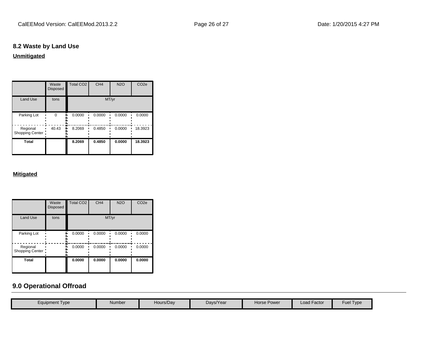# **8.2 Waste by Land Use**

**Unmitigated**

|                              | Waste<br><b>Disposed</b> | <b>Total CO2</b> | CH <sub>4</sub> | <b>N2O</b> | CO <sub>2e</sub> |
|------------------------------|--------------------------|------------------|-----------------|------------|------------------|
| <b>Land Use</b>              | tons                     |                  |                 | MT/yr      |                  |
| Parking Lot                  | 0                        | 0.0000           | 0.0000          | 0.0000     | 0.0000           |
| Regional<br>Shopping Center: | 40.43                    | 8.2069           | 0.4850          | 0.0000     | 18.3923          |
| <b>Total</b>                 |                          | 8.2069           | 0.4850          | 0.0000     | 18.3923          |

#### **Mitigated**

|                              | Waste<br><b>Disposed</b> | <b>Total CO2</b> | CH <sub>4</sub> | <b>N2O</b> | CO <sub>2e</sub> |  |  |
|------------------------------|--------------------------|------------------|-----------------|------------|------------------|--|--|
| <b>Land Use</b>              | tons                     | MT/yr            |                 |            |                  |  |  |
| Parking Lot                  |                          | 0.0000           | 0.0000          | 0.0000     | 0.0000           |  |  |
| Regional<br>Shopping Center: |                          | 0.0000           | 0.0000          | 0.0000     | 0.0000           |  |  |
| <b>Total</b>                 |                          | 0.0000           | 0.0000          | 0.0000     | 0.0000           |  |  |

# **9.0 Operational Offroad**

| Equipment Type | Number | Hours/Day | Days/Year | Horse Power | ∟oad Factor | Type<br>Fuel |
|----------------|--------|-----------|-----------|-------------|-------------|--------------|